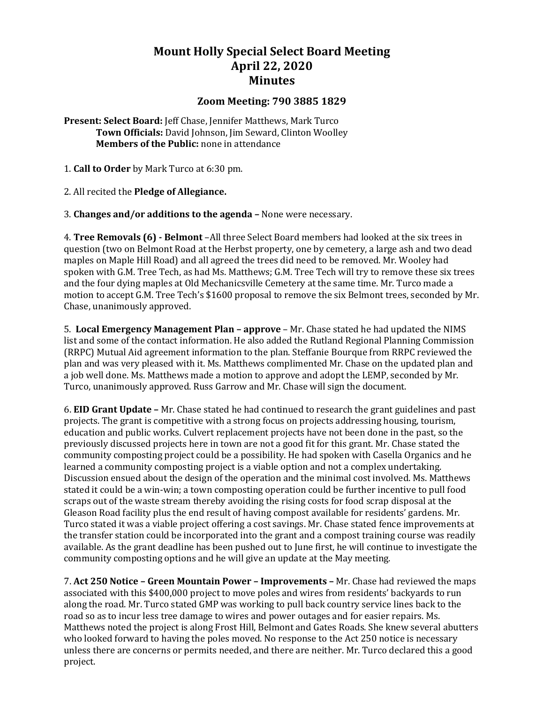## **Mount Holly Special Select Board Meeting April 22, 2020 Minutes**

## **Zoom Meeting: 790 3885 1829**

**Present: Select Board:** Jeff Chase, Jennifer Matthews, Mark Turco **Town Officials:** David Johnson, Jim Seward, Clinton Woolley **Members of the Public:** none in attendance

1. **Call to Order** by Mark Turco at 6:30 pm.

2. All recited the **Pledge of Allegiance.**

3. **Changes and/or additions to the agenda –** None were necessary.

4. **Tree Removals (6) - Belmont** –All three Select Board members had looked at the six trees in question (two on Belmont Road at the Herbst property, one by cemetery, a large ash and two dead maples on Maple Hill Road) and all agreed the trees did need to be removed. Mr. Wooley had spoken with G.M. Tree Tech, as had Ms. Matthews; G.M. Tree Tech will try to remove these six trees and the four dying maples at Old Mechanicsville Cemetery at the same time. Mr. Turco made a motion to accept G.M. Tree Tech's \$1600 proposal to remove the six Belmont trees, seconded by Mr. Chase, unanimously approved.

5. **Local Emergency Management Plan – approve** – Mr. Chase stated he had updated the NIMS list and some of the contact information. He also added the Rutland Regional Planning Commission (RRPC) Mutual Aid agreement information to the plan. Steffanie Bourque from RRPC reviewed the plan and was very pleased with it. Ms. Matthews complimented Mr. Chase on the updated plan and a job well done. Ms. Matthews made a motion to approve and adopt the LEMP, seconded by Mr. Turco, unanimously approved. Russ Garrow and Mr. Chase will sign the document.

6. **EID Grant Update –** Mr. Chase stated he had continued to research the grant guidelines and past projects. The grant is competitive with a strong focus on projects addressing housing, tourism, education and public works. Culvert replacement projects have not been done in the past, so the previously discussed projects here in town are not a good fit for this grant. Mr. Chase stated the community composting project could be a possibility. He had spoken with Casella Organics and he learned a community composting project is a viable option and not a complex undertaking. Discussion ensued about the design of the operation and the minimal cost involved. Ms. Matthews stated it could be a win-win; a town composting operation could be further incentive to pull food scraps out of the waste stream thereby avoiding the rising costs for food scrap disposal at the Gleason Road facility plus the end result of having compost available for residents' gardens. Mr. Turco stated it was a viable project offering a cost savings. Mr. Chase stated fence improvements at the transfer station could be incorporated into the grant and a compost training course was readily available. As the grant deadline has been pushed out to June first, he will continue to investigate the community composting options and he will give an update at the May meeting.

7. **Act 250 Notice – Green Mountain Power – Improvements –** Mr. Chase had reviewed the maps associated with this \$400,000 project to move poles and wires from residents' backyards to run along the road. Mr. Turco stated GMP was working to pull back country service lines back to the road so as to incur less tree damage to wires and power outages and for easier repairs. Ms. Matthews noted the project is along Frost Hill, Belmont and Gates Roads. She knew several abutters who looked forward to having the poles moved. No response to the Act 250 notice is necessary unless there are concerns or permits needed, and there are neither. Mr. Turco declared this a good project.